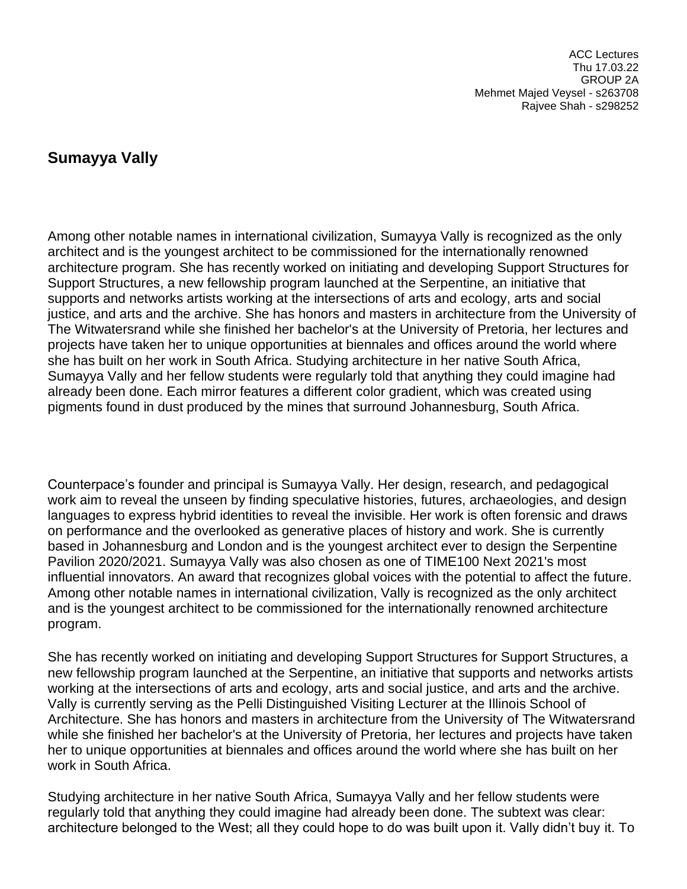ACC Lectures Thu 17.03.22 GROUP 2A Mehmet Majed Veysel - s263708 Rajvee Shah - s298252

## **Sumayya Vally**

Among other notable names in international civilization, Sumayya Vally is recognized as the only architect and is the youngest architect to be commissioned for the internationally renowned architecture program. She has recently worked on initiating and developing Support Structures for Support Structures, a new fellowship program launched at the Serpentine, an initiative that supports and networks artists working at the intersections of arts and ecology, arts and social justice, and arts and the archive. She has honors and masters in architecture from the University of The Witwatersrand while she finished her bachelor's at the University of Pretoria, her lectures and projects have taken her to unique opportunities at biennales and offices around the world where she has built on her work in South Africa. Studying architecture in her native South Africa, Sumayya Vally and her fellow students were regularly told that anything they could imagine had already been done. Each mirror features a different color gradient, which was created using pigments found in dust produced by the mines that surround Johannesburg, South Africa.

Counterpace's founder and principal is Sumayya Vally. Her design, research, and pedagogical work aim to reveal the unseen by finding speculative histories, futures, archaeologies, and design languages to express hybrid identities to reveal the invisible. Her work is often forensic and draws on performance and the overlooked as generative places of history and work. She is currently based in Johannesburg and London and is the youngest architect ever to design the Serpentine Pavilion 2020/2021. Sumayya Vally was also chosen as one of TIME100 Next 2021's most influential innovators. An award that recognizes global voices with the potential to affect the future. Among other notable names in international civilization, Vally is recognized as the only architect and is the youngest architect to be commissioned for the internationally renowned architecture program.

She has recently worked on initiating and developing Support Structures for Support Structures, a new fellowship program launched at the Serpentine, an initiative that supports and networks artists working at the intersections of arts and ecology, arts and social justice, and arts and the archive. Vally is currently serving as the Pelli Distinguished Visiting Lecturer at the Illinois School of Architecture. She has honors and masters in architecture from the University of The Witwatersrand while she finished her bachelor's at the University of Pretoria, her lectures and projects have taken her to unique opportunities at biennales and offices around the world where she has built on her work in South Africa.

Studying architecture in her native South Africa, Sumayya Vally and her fellow students were regularly told that anything they could imagine had already been done. The subtext was clear: architecture belonged to the West; all they could hope to do was built upon it. Vally didn't buy it. To